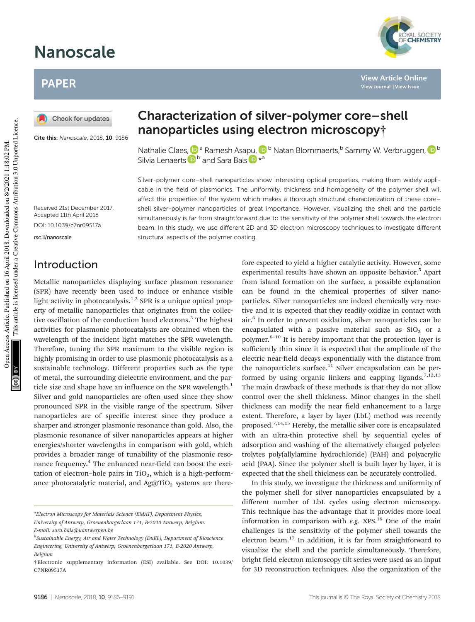# Nanoscale

## PAPER

Check for updates

Cite this: Nanoscale, 2018, 10, 9186

## Characterization of silver-polymer core–shell nanoparticles using electron microscopy†

Nathalie Claes, <sup>Da</sup> Ramesh Asapu, <sup>Db</sup> Natan Blommaerts, <sup>b</sup> Sammy W. Verbruggen, D<sup>b</sup> Silvia Lenaerts **D**<sup>b</sup> and Sara Bals **D**<sup>\*</sup><sup>a</sup>

Silver-polymer core–shell nanoparticles show interesting optical properties, making them widely applicable in the field of plasmonics. The uniformity, thickness and homogeneity of the polymer shell will affect the properties of the system which makes a thorough structural characterization of these core– shell silver-polymer nanoparticles of great importance. However, visualizing the shell and the particle simultaneously is far from straightforward due to the sensitivity of the polymer shell towards the electron beam. In this study, we use different 2D and 3D electron microscopy techniques to investigate different structural aspects of the polymer coating.

Received 21st December 2017, Accepted 11th April 2018

DOI: 10.1039/c7nr09517a

rsc.li/nanoscale

## Introduction

Metallic nanoparticles displaying surface plasmon resonance (SPR) have recently been used to induce or enhance visible light activity in photocatalysis.<sup>1,2</sup> SPR is a unique optical property of metallic nanoparticles that originates from the collective oscillation of the conduction band electrons.<sup>3</sup> The highest activities for plasmonic photocatalysts are obtained when the wavelength of the incident light matches the SPR wavelength. Therefore, tuning the SPR maximum to the visible region is highly promising in order to use plasmonic photocatalysis as a sustainable technology. Different properties such as the type of metal, the surrounding dielectric environment, and the particle size and shape have an influence on the SPR wavelength.<sup>1</sup> Silver and gold nanoparticles are often used since they show pronounced SPR in the visible range of the spectrum. Silver nanoparticles are of specific interest since they produce a sharper and stronger plasmonic resonance than gold. Also, the plasmonic resonance of silver nanoparticles appears at higher energies/shorter wavelengths in comparison with gold, which provides a broader range of tunability of the plasmonic resonance frequency.<sup>4</sup> The enhanced near-field can boost the excitation of electron-hole pairs in  $TiO<sub>2</sub>$ , which is a high-performance photocatalytic material, and  $Ag@TiO<sub>2</sub>$  systems are there-

#### fore expected to yield a higher catalytic activity. However, some experimental results have shown an opposite behavior.<sup>5</sup> Apart from island formation on the surface, a possible explanation can be found in the chemical properties of silver nanoparticles. Silver nanoparticles are indeed chemically very reactive and it is expected that they readily oxidize in contact with air.<sup>6</sup> In order to prevent oxidation, silver nanoparticles can be encapsulated with a passive material such as  $SiO<sub>2</sub>$  or a polymer.6–<sup>10</sup> It is hereby important that the protection layer is sufficiently thin since it is expected that the amplitude of the electric near-field decays exponentially with the distance from the nanoparticle's surface.<sup>11</sup> Silver encapsulation can be performed by using organic linkers and capping ligands.<sup>7,12,13</sup> The main drawback of these methods is that they do not allow control over the shell thickness. Minor changes in the shell thickness can modify the near field enhancement to a large extent. Therefore, a layer by layer (LbL) method was recently proposed.<sup>7,14,15</sup> Hereby, the metallic silver core is encapsulated with an ultra-thin protective shell by sequential cycles of adsorption and washing of the alternatively charged polyelectrolytes poly(allylamine hydrochloride) (PAH) and polyacrylic acid (PAA). Since the polymer shell is built layer by layer, it is expected that the shell thickness can be accurately controlled. In this study, we investigate the thickness and uniformity of

the polymer shell for silver nanoparticles encapsulated by a different number of LbL cycles using electron microscopy. This technique has the advantage that it provides more local information in comparison with *e.g.* XPS.<sup>16</sup> One of the main challenges is the sensitivity of the polymer shell towards the electron beam.<sup>17</sup> In addition, it is far from straightforward to visualize the shell and the particle simultaneously. Therefore, bright field electron microscopy tilt series were used as an input for 3D reconstruction techniques. Also the organization of the



**View Article Online View Journal | View Issue**

*a Electron Microscopy for Materials Science (EMAT), Department Physics, University of Antwerp, Groenenborgerlaan 171, B-2020 Antwerp, Belgium. E-mail: sara.bals@uantwerpen.be*

*b Sustainable Energy, Air and Water Technology (DuEL), Department of Bioscience Engineering, University of Antwerp, Groenenborgerlaan 171, B-2020 Antwerp, Belgium*

<sup>†</sup>Electronic supplementary information (ESI) available. See DOI: 10.1039/ C7NR09517A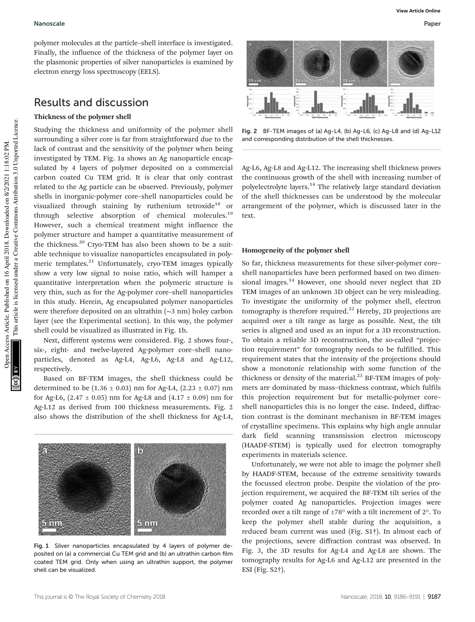polymer molecules at the particle–shell interface is investigated. Finally, the influence of the thickness of the polymer layer on the plasmonic properties of silver nanoparticles is examined by electron energy loss spectroscopy (EELS).

### Results and discussion

#### Thickness of the polymer shell

Studying the thickness and uniformity of the polymer shell surrounding a silver core is far from straightforward due to the lack of contrast and the sensitivity of the polymer when being investigated by TEM. Fig. 1a shows an Ag nanoparticle encapsulated by 4 layers of polymer deposited on a commercial carbon coated Cu TEM grid. It is clear that only contrast related to the Ag particle can be observed. Previously, polymer shells in inorganic-polymer core–shell nanoparticles could be visualized through staining by ruthenium tetroxide<sup>18</sup> or through selective absorption of chemical molecules.<sup>19</sup> However, such a chemical treatment might influence the polymer structure and hamper a quantitative measurement of the thickness.<sup>20</sup> Cryo-TEM has also been shown to be a suitable technique to visualize nanoparticles encapsulated in polymeric templates.<sup>21</sup> Unfortunately, cryo-TEM images typically show a very low signal to noise ratio, which will hamper a quantitative interpretation when the polymeric structure is very thin, such as for the Ag-polymer core–shell nanoparticles in this study. Herein, Ag encapsulated polymer nanoparticles were therefore deposited on an ultrathin (∼3 nm) holey carbon layer (see the Experimental section). In this way, the polymer shell could be visualized as illustrated in Fig. 1b.

Next, different systems were considered. Fig. 2 shows four-, six-, eight- and twelve-layered Ag-polymer core–shell nanoparticles, denoted as Ag-L4, Ag-L6, Ag-L8 and Ag-L12, respectively.

Based on BF-TEM images, the shell thickness could be determined to be  $(1.36 \pm 0.03)$  nm for Ag-L4,  $(2.23 \pm 0.07)$  nm for Ag-L6,  $(2.47 \pm 0.05)$  nm for Ag-L8 and  $(4.17 \pm 0.09)$  nm for Ag-L12 as derived from 100 thickness measurements. Fig. 2 also shows the distribution of the shell thickness for Ag-L4,



Fig. 1 Silver nanoparticles encapsulated by 4 layers of polymer deposited on (a) a commercial Cu TEM grid and (b) an ultrathin carbon film coated TEM grid. Only when using an ultrathin support, the polymer shell can be visualized.

**View Article Online**

Fig. 2 BF-TEM images of (a) Ag-L4, (b) Ag-L6, (c) Ag-L8 and (d) Ag-L12 and corresponding distribution of the shell thicknesses.

Ag-L6, Ag-L8 and Ag-L12. The increasing shell thickness proves the continuous growth of the shell with increasing number of polyelectrolyte layers.<sup>14</sup> The relatively large standard deviation of the shell thicknesses can be understood by the molecular arrangement of the polymer, which is discussed later in the text.

#### Homogeneity of the polymer shell

So far, thickness measurements for these silver-polymer core– shell nanoparticles have been performed based on two dimensional images.<sup>14</sup> However, one should never neglect that 2D TEM images of an unknown 3D object can be very misleading. To investigate the uniformity of the polymer shell, electron tomography is therefore required.<sup>22</sup> Hereby, 2D projections are acquired over a tilt range as large as possible. Next, the tilt series is aligned and used as an input for a 3D reconstruction. To obtain a reliable 3D reconstruction, the so-called "projection requirement" for tomography needs to be fulfilled. This requirement states that the intensity of the projections should show a monotonic relationship with some function of the thickness or density of the material. $^{23}$  BF-TEM images of polymers are dominated by mass–thickness contrast, which fulfils this projection requirement but for metallic-polymer core– shell nanoparticles this is no longer the case. Indeed, diffraction contrast is the dominant mechanism in BF-TEM images of crystalline specimens. This explains why high angle annular dark field scanning transmission electron microscopy (HAADF-STEM) is typically used for electron tomography experiments in materials science.

Unfortunately, we were not able to image the polymer shell by HAADF-STEM, because of the extreme sensitivity towards the focussed electron probe. Despite the violation of the projection requirement, we acquired the BF-TEM tilt series of the polymer coated Ag nanoparticles. Projection images were recorded over a tilt range of  $\pm 78^\circ$  with a tilt increment of 2°. To keep the polymer shell stable during the acquisition, a reduced beam current was used (Fig. S1†). In almost each of the projections, severe diffraction contrast was observed. In Fig. 3, the 3D results for Ag-L4 and Ag-L8 are shown. The tomography results for Ag-L6 and Ag-L12 are presented in the ESI (Fig. S2†).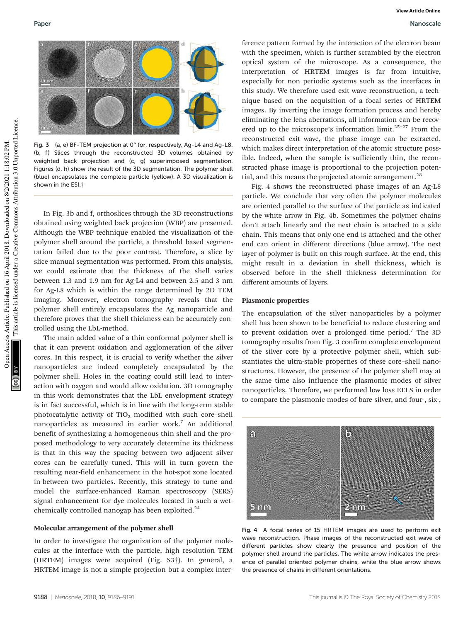

Fig. 3 (a, e) BF-TEM projection at 0° for, respectively, Ag-L4 and Ag-L8. (b, f) Slices through the reconstructed 3D volumes obtained by weighted back projection and (c, g) superimposed segmentation. Figures (d, h) show the result of the 3D segmentation. The polymer shell (blue) encapsulates the complete particle (yellow). A 3D visualization is shown in the ESI.†

In Fig. 3b and f, orthoslices through the 3D reconstructions obtained using weighted back projection (WBP) are presented. Although the WBP technique enabled the visualization of the polymer shell around the particle, a threshold based segmentation failed due to the poor contrast. Therefore, a slice by slice manual segmentation was performed. From this analysis, we could estimate that the thickness of the shell varies between 1.3 and 1.9 nm for Ag-L4 and between 2.5 and 3 nm for Ag-L8 which is within the range determined by 2D TEM imaging. Moreover, electron tomography reveals that the polymer shell entirely encapsulates the Ag nanoparticle and therefore proves that the shell thickness can be accurately controlled using the LbL-method.

The main added value of a thin conformal polymer shell is that it can prevent oxidation and agglomeration of the silver cores. In this respect, it is crucial to verify whether the silver nanoparticles are indeed completely encapsulated by the polymer shell. Holes in the coating could still lead to interaction with oxygen and would allow oxidation. 3D tomography in this work demonstrates that the LbL envelopment strategy is in fact successful, which is in line with the long-term stable photocatalytic activity of  $TiO<sub>2</sub>$  modified with such core–shell nanoparticles as measured in earlier work.<sup>7</sup> An additional benefit of synthesizing a homogeneous thin shell and the proposed methodology to very accurately determine its thickness is that in this way the spacing between two adjacent silver cores can be carefully tuned. This will in turn govern the resulting near-field enhancement in the hot-spot zone located in-between two particles. Recently, this strategy to tune and model the surface-enhanced Raman spectroscopy (SERS) signal enhancement for dye molecules located in such a wetchemically controlled nanogap has been exploited. $^{24}$ 

#### Molecular arrangement of the polymer shell

In order to investigate the organization of the polymer molecules at the interface with the particle, high resolution TEM (HRTEM) images were acquired (Fig. S3†). In general, a HRTEM image is not a simple projection but a complex inter-

ference pattern formed by the interaction of the electron beam with the specimen, which is further scrambled by the electron optical system of the microscope. As a consequence, the interpretation of HRTEM images is far from intuitive, especially for non periodic systems such as the interfaces in this study. We therefore used exit wave reconstruction, a technique based on the acquisition of a focal series of HRTEM images. By inverting the image formation process and hereby eliminating the lens aberrations, all information can be recovered up to the microscope's information limit. $25-27$  From the reconstructed exit wave, the phase image can be extracted, which makes direct interpretation of the atomic structure possible. Indeed, when the sample is sufficiently thin, the reconstructed phase image is proportional to the projection potential, and this means the projected atomic arrangement.<sup>28</sup>

Fig. 4 shows the reconstructed phase images of an Ag-L8 particle. We conclude that very often the polymer molecules are oriented parallel to the surface of the particle as indicated by the white arrow in Fig. 4b. Sometimes the polymer chains don't attach linearly and the next chain is attached to a side chain. This means that only one end is attached and the other end can orient in different directions (blue arrow). The next layer of polymer is built on this rough surface. At the end, this might result in a deviation in shell thickness, which is observed before in the shell thickness determination for different amounts of layers.

#### Plasmonic properties

The encapsulation of the silver nanoparticles by a polymer shell has been shown to be beneficial to reduce clustering and to prevent oxidation over a prolonged time period.<sup>7</sup> The 3D tomography results from Fig. 3 confirm complete envelopment of the silver core by a protective polymer shell, which substantiates the ultra-stable properties of these core–shell nanostructures. However, the presence of the polymer shell may at the same time also influence the plasmonic modes of silver nanoparticles. Therefore, we performed low loss EELS in order to compare the plasmonic modes of bare silver, and four-, six-,



Fig. 4 A focal series of 15 HRTEM images are used to perform exit wave reconstruction. Phase images of the reconstructed exit wave of different particles show clearly the presence and position of the polymer shell around the particles. The white arrow indicates the presence of parallel oriented polymer chains, while the blue arrow shows the presence of chains in different orientations.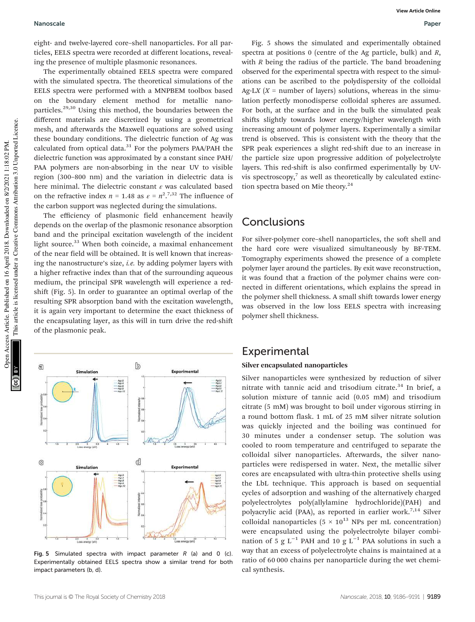#### Nanoscale Paper

eight- and twelve-layered core–shell nanoparticles. For all particles, EELS spectra were recorded at different locations, revealing the presence of multiple plasmonic resonances.

The experimentally obtained EELS spectra were compared with the simulated spectra. The theoretical simulations of the EELS spectra were performed with a MNPBEM toolbox based on the boundary element method for metallic nanoparticles.29,30 Using this method, the boundaries between the different materials are discretized by using a geometrical mesh, and afterwards the Maxwell equations are solved using these boundary conditions. The dielectric function of Ag was calculated from optical data. $31$  For the polymers PAA/PAH the dielectric function was approximated by a constant since PAH/ PAA polymers are non-absorbing in the near UV to visible region (300–800 nm) and the variation in dielectric data is here minimal. The dielectric constant  $\varepsilon$  was calculated based on the refractive index  $n = 1.48$  as  $\varepsilon = n^2 \cdot 7.32$  The influence of the carbon support was neglected during the simulations.

The efficiency of plasmonic field enhancement heavily depends on the overlap of the plasmonic resonance absorption band and the principal excitation wavelength of the incident light source.<sup>33</sup> When both coincide, a maximal enhancement of the near field will be obtained. It is well known that increasing the nanostructure's size, *i.e.* by adding polymer layers with a higher refractive index than that of the surrounding aqueous medium, the principal SPR wavelength will experience a redshift (Fig. 5). In order to guarantee an optimal overlap of the resulting SPR absorption band with the excitation wavelength, it is again very important to determine the exact thickness of the encapsulating layer, as this will in turn drive the red-shift of the plasmonic peak.



Fig. 5 Simulated spectra with impact parameter  $R$  (a) and 0 (c). Experimentally obtained EELS spectra show a similar trend for both impact parameters (b, d).

Fig. 5 shows the simulated and experimentally obtained spectra at positions 0 (centre of the Ag particle, bulk) and *R*, with *R* being the radius of the particle. The band broadening observed for the experimental spectra with respect to the simulations can be ascribed to the polydispersity of the colloidal  $Ag-LX$  ( $X =$  number of layers) solutions, whereas in the simulation perfectly monodisperse colloidal spheres are assumed. For both, at the surface and in the bulk the simulated peak shifts slightly towards lower energy/higher wavelength with increasing amount of polymer layers. Experimentally a similar trend is observed. This is consistent with the theory that the SPR peak experiences a slight red-shift due to an increase in the particle size upon progressive addition of polyelectrolyte layers. This red-shift is also confirmed experimentally by UVvis spectroscopy, $7$  as well as theoretically by calculated extinction spectra based on Mie theory. $24$ 

### **Conclusions**

For silver-polymer core–shell nanoparticles, the soft shell and the hard core were visualized simultaneously by BF-TEM. Tomography experiments showed the presence of a complete polymer layer around the particles. By exit wave reconstruction, it was found that a fraction of the polymer chains were connected in different orientations, which explains the spread in the polymer shell thickness. A small shift towards lower energy was observed in the low loss EELS spectra with increasing polymer shell thickness.

### **Experimental**

#### Silver encapsulated nanoparticles

Silver nanoparticles were synthesized by reduction of silver nitrate with tannic acid and trisodium citrate. $34$  In brief, a solution mixture of tannic acid (0.05 mM) and trisodium citrate (5 mM) was brought to boil under vigorous stirring in a round bottom flask. 1 mL of 25 mM silver nitrate solution was quickly injected and the boiling was continued for 30 minutes under a condenser setup. The solution was cooled to room temperature and centrifuged to separate the colloidal silver nanoparticles. Afterwards, the silver nanoparticles were redispersed in water. Next, the metallic silver cores are encapsulated with ultra-thin protective shells using the LbL technique. This approach is based on sequential cycles of adsorption and washing of the alternatively charged polyelectrolytes poly(allylamine hydrochloride)(PAH) and polyacrylic acid (PAA), as reported in earlier work.<sup>7,14</sup> Silver colloidal nanoparticles ( $5 \times 10^{13}$  NPs per mL concentration) were encapsulated using the polyelectrolyte bilayer combination of  $\frac{1}{5}$  g L<sup>-1</sup> PAH and 10 g L<sup>-1</sup> PAA solutions in such a way that an excess of polyelectrolyte chains is maintained at a ratio of 60 000 chains per nanoparticle during the wet chemical synthesis.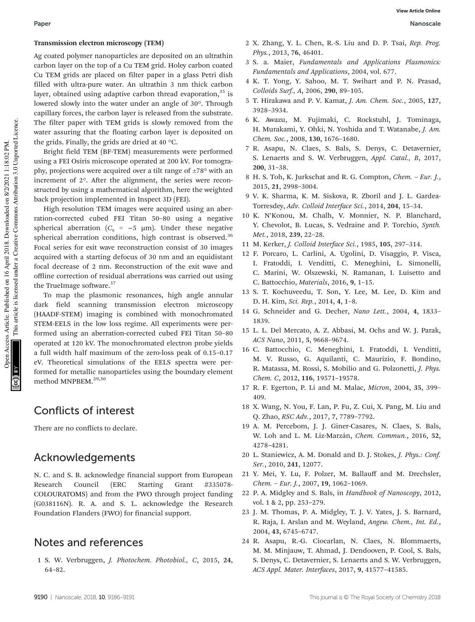#### Transmission electron microscopy (TEM)

Ag coated polymer nanoparticles are deposited on an ultrathin carbon layer on the top of a Cu TEM grid. Holey carbon coated Cu TEM grids are placed on filter paper in a glass Petri dish filled with ultra-pure water. An ultrathin 3 nm thick carbon layer, obtained using adaptive carbon thread evaporation, $35$  is lowered slowly into the water under an angle of 30°. Through capillary forces, the carbon layer is released from the substrate. The filter paper with TEM grids is slowly removed from the water assuring that the floating carbon layer is deposited on the grids. Finally, the grids are dried at 40 °C.

Bright field TEM (BF-TEM) measurements were performed using a FEI Osiris microscope operated at 200 kV. For tomography, projections were acquired over a tilt range of ±78° with an increment of 2°. After the alignment, the series were reconstructed by using a mathematical algorithm, here the weighted back projection implemented in Inspect 3D (FEI).

High resolution TEM images were acquired using an aberration-corrected cubed FEI Titan 50–80 using a negative spherical aberration ( $C_s$  = −5  $\mu$ m). Under these negative spherical aberration conditions, high contrast is observed.<sup>36</sup> Focal series for exit wave reconstruction consist of 30 images acquired with a starting defocus of 30 nm and an equidistant focal decrease of 2 nm. Reconstruction of the exit wave and offline correction of residual aberrations was carried out using the TrueImage software.<sup>37</sup>

To map the plasmonic resonances, high angle annular dark field scanning transmission electron microscopy (HAADF-STEM) imaging is combined with monochromated STEM-EELS in the low loss regime. All experiments were performed using an aberration-corrected cubed FEI Titan 50–80 operated at 120 kV. The monochromated electron probe yields a full width half maximum of the zero-loss peak of 0.15–0.17 eV. Theoretical simulations of the EELS spectra were performed for metallic nanoparticles using the boundary element method MNPBEM.<sup>29,30</sup>

## Conflicts of interest

There are no conflicts to declare.

## Acknowledgements

N. C. and S. B. acknowledge financial support from European Research Council (ERC Starting Grant #335078- COLOURATOMS) and from the FWO through project funding (G038116N). R. A. and S. L. acknowledge the Research Foundation Flanders (FWO) for financial support.

## Notes and references

1 S. W. Verbruggen, *J. Photochem. Photobiol., C*, 2015, 24, 64–82.

- 2 X. Zhang, Y. L. Chen, R.-S. Liu and D. P. Tsai, *Rep. Prog. Phys.*, 2013, 76, 46401.
- 3 S. a. Maier, *Fundamentals and Applications Plasmonics: Fundamentals and Applications*, 2004, vol. 677.
- 4 K. T. Yong, Y. Sahoo, M. T. Swihart and P. N. Prasad, *Colloids Surf., A*, 2006, 290, 89–105.
- 5 T. Hirakawa and P. V. Kamat, *J. Am. Chem. Soc.*, 2005, 127, 3928–3934.
- 6 K. Awazu, M. Fujimaki, C. Rockstuhl, J. Tominaga, H. Murakami, Y. Ohki, N. Yoshida and T. Watanabe, *J. Am. Chem. Soc.*, 2008, 130, 1676–1680.
- 7 R. Asapu, N. Claes, S. Bals, S. Denys, C. Detavernier, S. Lenaerts and S. W. Verbruggen, *Appl. Catal., B*, 2017, 200, 31–38.
- 8 H. S. Toh, K. Jurkschat and R. G. Compton, *Chem. Eur. J.*, 2015, 21, 2998–3004.
- 9 V. K. Sharma, K. M. Siskova, R. Zboril and J. L. Gardea-Torresdey, *Adv. Colloid Interface Sci.*, 2014, 204, 15–34.
- 10 K. N'Konou, M. Chalh, V. Monnier, N. P. Blanchard, Y. Chevolot, B. Lucas, S. Vedraine and P. Torchio, *Synth. Met.*, 2018, 239, 22–28.
- 11 M. Kerker, *J. Colloid Interface Sci.*, 1985, 105, 297–314.
- 12 F. Porcaro, L. Carlini, A. Ugolini, D. Visaggio, P. Visca, I. Fratoddi, I. Venditti, C. Meneghini, L. Simonelli, C. Marini, W. Olszewski, N. Ramanan, I. Luisetto and C. Battocchio, *Materials*, 2016, 9, 1–15.
- 13 S. T. Kochuveedu, T. Son, Y. Lee, M. Lee, D. Kim and D. H. Kim, *Sci. Rep.*, 2014, 4, 1–8.
- 14 G. Schneider and G. Decher, *Nano Lett.*, 2004, 4, 1833– 1839.
- 15 L. L. Del Mercato, A. Z. Abbasi, M. Ochs and W. J. Parak, *ACS Nano*, 2011, 5, 9668–9674.
- 16 C. Battocchio, C. Meneghini, I. Fratoddi, I. Venditti, M. V. Russo, G. Aquilanti, C. Maurizio, F. Bondino, R. Matassa, M. Rossi, S. Mobilio and G. Polzonetti, *J. Phys. Chem. C*, 2012, 116, 19571–19578.
- 17 R. F. Egerton, P. Li and M. Malac, *Micron*, 2004, 35, 399– 409.
- 18 X. Wang, N. You, F. Lan, P. Fu, Z. Cui, X. Pang, M. Liu and Q. Zhao, *RSC Adv.*, 2017, 7, 7789–7792.
- 19 A. M. Percebom, J. J. Giner-Casares, N. Claes, S. Bals, W. Loh and L. M. Liz-Marzán, *Chem. Commun.*, 2016, 52, 4278–4281.
- 20 L. Staniewicz, A. M. Donald and D. J. Stokes, *J. Phys.: Conf. Ser.*, 2010, 241, 12077.
- 21 Y. Mei, Y. Lu, F. Polzer, M. Ballauff and M. Drechsler, *Chem.* – *Eur. J.*, 2007, 19, 1062–1069.
- 22 P. A. Midgley and S. Bals, in *Handbook of Nanoscopy*, 2012, vol. 1 & 2, pp. 253–279.
- 23 J. M. Thomas, P. A. Midgley, T. J. V. Yates, J. S. Barnard, R. Raja, I. Arslan and M. Weyland, *Angew. Chem., Int. Ed.*, 2004, 43, 6745–6747.
- 24 R. Asapu, R.-G. Ciocarlan, N. Claes, N. Blommaerts, M. M. Minjauw, T. Ahmad, J. Dendooven, P. Cool, S. Bals, S. Denys, C. Detavernier, S. Lenaerts and S. W. Verbruggen, *ACS Appl. Mater. Interfaces*, 2017, 9, 41577–41585.